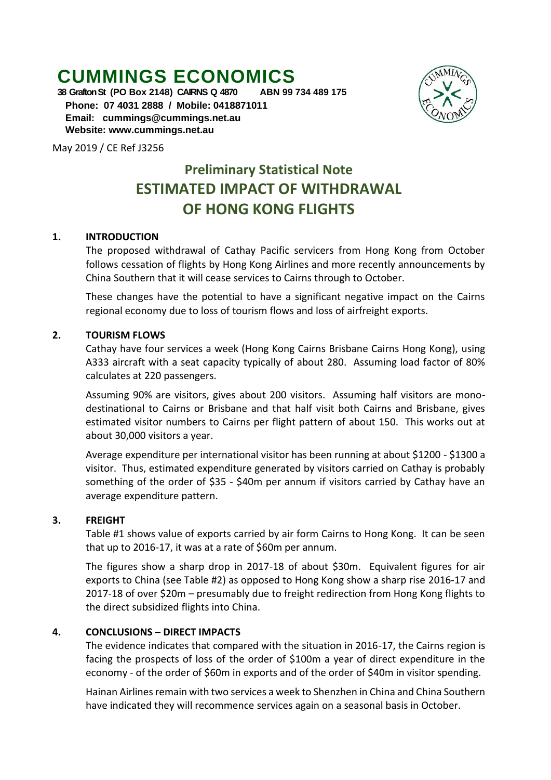# **CUMMINGS ECONOMICS**<br>38 Grafton St (PO Box 2148) CAIRNS Q 4870 ABN 99 734 489 175

**38 Grafton St (PO Box 2148) CAIRNS Q 4870 Phone: 07 4031 2888 / Mobile: 0418871011 Email: [cummings@cummings.net.au](mailto:cummings@cummings.net.au) Website: www.cummings.net.au**

May 2019 / CE Ref J3256

## **Preliminary Statistical Note ESTIMATED IMPACT OF WITHDRAWAL OF HONG KONG FLIGHTS**

#### **1. INTRODUCTION**

The proposed withdrawal of Cathay Pacific servicers from Hong Kong from October follows cessation of flights by Hong Kong Airlines and more recently announcements by China Southern that it will cease services to Cairns through to October.

These changes have the potential to have a significant negative impact on the Cairns regional economy due to loss of tourism flows and loss of airfreight exports.

#### **2. TOURISM FLOWS**

Cathay have four services a week (Hong Kong Cairns Brisbane Cairns Hong Kong), using A333 aircraft with a seat capacity typically of about 280. Assuming load factor of 80% calculates at 220 passengers.

Assuming 90% are visitors, gives about 200 visitors. Assuming half visitors are monodestinational to Cairns or Brisbane and that half visit both Cairns and Brisbane, gives estimated visitor numbers to Cairns per flight pattern of about 150. This works out at about 30,000 visitors a year.

Average expenditure per international visitor has been running at about \$1200 - \$1300 a visitor. Thus, estimated expenditure generated by visitors carried on Cathay is probably something of the order of \$35 - \$40m per annum if visitors carried by Cathay have an average expenditure pattern.

#### **3. FREIGHT**

Table #1 shows value of exports carried by air form Cairns to Hong Kong. It can be seen that up to 2016-17, it was at a rate of \$60m per annum.

The figures show a sharp drop in 2017-18 of about \$30m. Equivalent figures for air exports to China (see Table #2) as opposed to Hong Kong show a sharp rise 2016-17 and 2017-18 of over \$20m – presumably due to freight redirection from Hong Kong flights to the direct subsidized flights into China.

#### **4. CONCLUSIONS – DIRECT IMPACTS**

The evidence indicates that compared with the situation in 2016-17, the Cairns region is facing the prospects of loss of the order of \$100m a year of direct expenditure in the economy - of the order of \$60m in exports and of the order of \$40m in visitor spending.

Hainan Airlines remain with two services a week to Shenzhen in China and China Southern have indicated they will recommence services again on a seasonal basis in October.